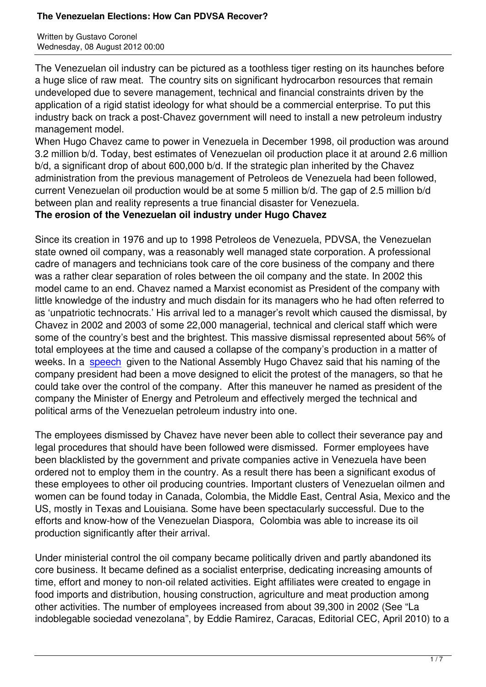The Venezuelan oil industry can be pictured as a toothless tiger resting on its haunches before a huge slice of raw meat. The country sits on significant hydrocarbon resources that remain undeveloped due to severe management, technical and financial constraints driven by the application of a rigid statist ideology for what should be a commercial enterprise. To put this industry back on track a post-Chavez government will need to install a new petroleum industry management model.

When Hugo Chavez came to power in Venezuela in December 1998, oil production was around 3.2 million b/d. Today, best estimates of Venezuelan oil production place it at around 2.6 million b/d, a significant drop of about 600,000 b/d. If the strategic plan inherited by the Chavez administration from the previous management of Petroleos de Venezuela had been followed, current Venezuelan oil production would be at some 5 million b/d. The gap of 2.5 million b/d between plan and reality represents a true financial disaster for Venezuela.

## **The erosion of the Venezuelan oil industry under Hugo Chavez**

Since its creation in 1976 and up to 1998 Petroleos de Venezuela, PDVSA, the Venezuelan state owned oil company, was a reasonably well managed state corporation. A professional cadre of managers and technicians took care of the core business of the company and there was a rather clear separation of roles between the oil company and the state. In 2002 this model came to an end. Chavez named a Marxist economist as President of the company with little knowledge of the industry and much disdain for its managers who he had often referred to as 'unpatriotic technocrats.' His arrival led to a manager's revolt which caused the dismissal, by Chavez in 2002 and 2003 of some 22,000 managerial, technical and clerical staff which were some of the country's best and the brightest. This massive dismissal represented about 56% of total employees at the time and caused a collapse of the company's production in a matter of weeks. In a speech given to the National Assembly Hugo Chavez said that his naming of the company president had been a move designed to elicit the protest of the managers, so that he could take over the control of the company. After this maneuver he named as president of the company th[e Ministe](http://lasarmasdecoronel.blogspot.be/2009/12/pdvsa-en-2002-violacion-protestas.html)r of Energy and Petroleum and effectively merged the technical and political arms of the Venezuelan petroleum industry into one.

The employees dismissed by Chavez have never been able to collect their severance pay and legal procedures that should have been followed were dismissed. Former employees have been blacklisted by the government and private companies active in Venezuela have been ordered not to employ them in the country. As a result there has been a significant exodus of these employees to other oil producing countries. Important clusters of Venezuelan oilmen and women can be found today in Canada, Colombia, the Middle East, Central Asia, Mexico and the US, mostly in Texas and Louisiana. Some have been spectacularly successful. Due to the efforts and know-how of the Venezuelan Diaspora, Colombia was able to increase its oil production significantly after their arrival.

Under ministerial control the oil company became politically driven and partly abandoned its core business. It became defined as a socialist enterprise, dedicating increasing amounts of time, effort and money to non-oil related activities. Eight affiliates were created to engage in food imports and distribution, housing construction, agriculture and meat production among other activities. The number of employees increased from about 39,300 in 2002 (See "La indoblegable sociedad venezolana", by Eddie Ramirez, Caracas, Editorial CEC, April 2010) to a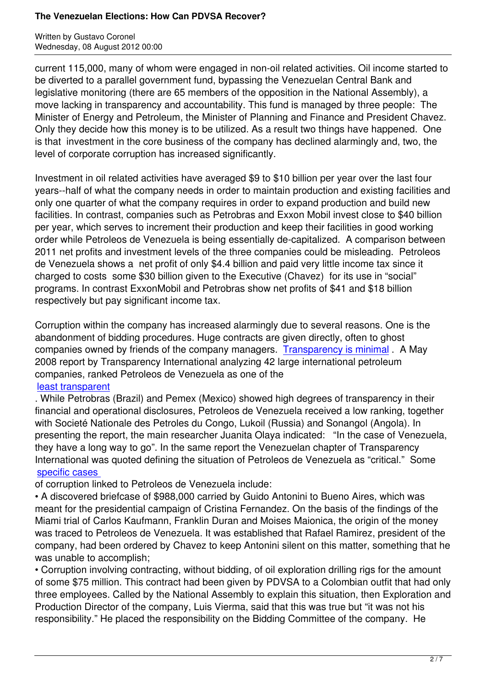current 115,000, many of whom were engaged in non-oil related activities. Oil income started to be diverted to a parallel government fund, bypassing the Venezuelan Central Bank and legislative monitoring (there are 65 members of the opposition in the National Assembly), a move lacking in transparency and accountability. This fund is managed by three people: The Minister of Energy and Petroleum, the Minister of Planning and Finance and President Chavez. Only they decide how this money is to be utilized. As a result two things have happened. One is that investment in the core business of the company has declined alarmingly and, two, the level of corporate corruption has increased significantly.

Investment in oil related activities have averaged \$9 to \$10 billion per year over the last four years--half of what the company needs in order to maintain production and existing facilities and only one quarter of what the company requires in order to expand production and build new facilities. In contrast, companies such as Petrobras and Exxon Mobil invest close to \$40 billion per year, which serves to increment their production and keep their facilities in good working order while Petroleos de Venezuela is being essentially de-capitalized. A comparison between 2011 net profits and investment levels of the three companies could be misleading. Petroleos de Venezuela shows a net profit of only \$4.4 billion and paid very little income tax since it charged to costs some \$30 billion given to the Executive (Chavez) for its use in "social" programs. In contrast ExxonMobil and Petrobras show net profits of \$41 and \$18 billion respectively but pay significant income tax.

Corruption within the company has increased alarmingly due to several reasons. One is the abandonment of bidding procedures. Huge contracts are given directly, often to ghost companies owned by friends of the company managers. Transparency is minimal . A May 2008 report by Transparency International analyzing 42 large international petroleum companies, ranked Petroleos de Venezuela as one of the

## least transparent

. While Petrobras (Brazil) and Pemex (Mexico) showed hi[gh degrees of transparen](http://www.petroleumworld.com/sunopf09120601.htm)cy in their financial and operational disclosures, Petroleos de Venezuela received a low ranking, together [with Societé Natio](http://www.euractiv.com/sites/all/euractiv/files/TI_PRT_2011_report_FINAL_EN.pdf)nale des Petroles du Congo, Lukoil (Russia) and Sonangol (Angola). In presenting the report, the main researcher Juanita Olaya indicated: "In the case of Venezuela, they have a long way to go". In the same report the Venezuelan chapter of Transparency International was quoted defining the situation of Petroleos de Venezuela as "critical." Some specific cases

of corruption linked to Petroleos de Venezuela include:

• A discovered briefcase of \$988,000 carried by Guido Antonini to Bueno Aires, which was [meant for the p](http://www.petroleumworld.com/sunopf09120601.htm)residential campaign of Cristina Fernandez. On the basis of the findings of the Miami trial of Carlos Kaufmann, Franklin Duran and Moises Maionica, the origin of the money was traced to Petroleos de Venezuela. It was established that Rafael Ramirez, president of the company, had been ordered by Chavez to keep Antonini silent on this matter, something that he was unable to accomplish;

• Corruption involving contracting, without bidding, of oil exploration drilling rigs for the amount of some \$75 million. This contract had been given by PDVSA to a Colombian outfit that had only three employees. Called by the National Assembly to explain this situation, then Exploration and Production Director of the company, Luis Vierma, said that this was true but "it was not his responsibility." He placed the responsibility on the Bidding Committee of the company. He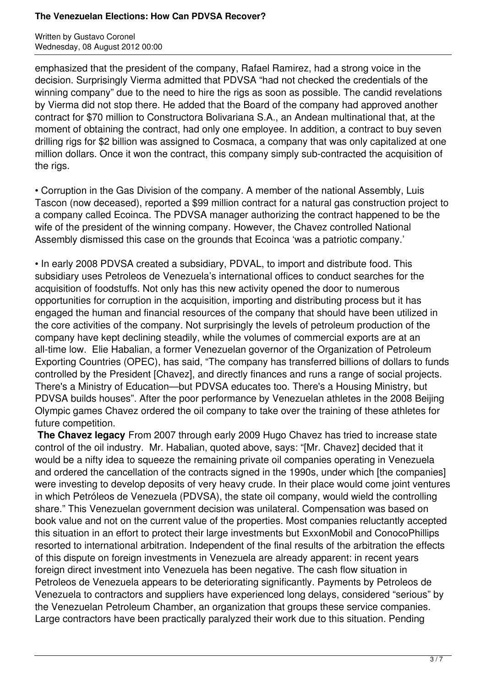Written by Gustavo Coronel Wednesday, 08 August 2012 00:00

emphasized that the president of the company, Rafael Ramirez, had a strong voice in the decision. Surprisingly Vierma admitted that PDVSA "had not checked the credentials of the winning company" due to the need to hire the rigs as soon as possible. The candid revelations by Vierma did not stop there. He added that the Board of the company had approved another contract for \$70 million to Constructora Bolivariana S.A., an Andean multinational that, at the moment of obtaining the contract, had only one employee. In addition, a contract to buy seven drilling rigs for \$2 billion was assigned to Cosmaca, a company that was only capitalized at one million dollars. Once it won the contract, this company simply sub-contracted the acquisition of the rigs.

• Corruption in the Gas Division of the company. A member of the national Assembly, Luis Tascon (now deceased), reported a \$99 million contract for a natural gas construction project to a company called Ecoinca. The PDVSA manager authorizing the contract happened to be the wife of the president of the winning company. However, the Chavez controlled National Assembly dismissed this case on the grounds that Ecoinca 'was a patriotic company.'

• In early 2008 PDVSA created a subsidiary, PDVAL, to import and distribute food. This subsidiary uses Petroleos de Venezuela's international offices to conduct searches for the acquisition of foodstuffs. Not only has this new activity opened the door to numerous opportunities for corruption in the acquisition, importing and distributing process but it has engaged the human and financial resources of the company that should have been utilized in the core activities of the company. Not surprisingly the levels of petroleum production of the company have kept declining steadily, while the volumes of commercial exports are at an all-time low. Elie Habalian, a former Venezuelan governor of the Organization of Petroleum Exporting Countries (OPEC), has said, "The company has transferred billions of dollars to funds controlled by the President [Chavez], and directly finances and runs a range of social projects. There's a Ministry of Education—but PDVSA educates too. There's a Housing Ministry, but PDVSA builds houses". After the poor performance by Venezuelan athletes in the 2008 Beijing Olympic games Chavez ordered the oil company to take over the training of these athletes for future competition.

**The Chavez legacy** From 2007 through early 2009 Hugo Chavez has tried to increase state control of the oil industry. Mr. Habalian, quoted above, says: "[Mr. Chavez] decided that it would be a nifty idea to squeeze the remaining private oil companies operating in Venezuela and ordered the cancellation of the contracts signed in the 1990s, under which [the companies] were investing to develop deposits of very heavy crude. In their place would come joint ventures in which Petróleos de Venezuela (PDVSA), the state oil company, would wield the controlling share." This Venezuelan government decision was unilateral. Compensation was based on book value and not on the current value of the properties. Most companies reluctantly accepted this situation in an effort to protect their large investments but ExxonMobil and ConocoPhillips resorted to international arbitration. Independent of the final results of the arbitration the effects of this dispute on foreign investments in Venezuela are already apparent: in recent years foreign direct investment into Venezuela has been negative. The cash flow situation in Petroleos de Venezuela appears to be deteriorating significantly. Payments by Petroleos de Venezuela to contractors and suppliers have experienced long delays, considered "serious" by the Venezuelan Petroleum Chamber, an organization that groups these service companies. Large contractors have been practically paralyzed their work due to this situation. Pending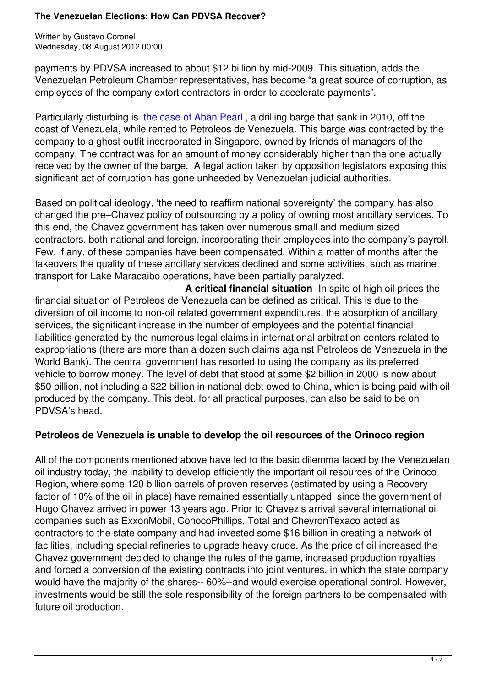payments by PDVSA increased to about \$12 billion by mid-2009. This situation, adds the Venezuelan Petroleum Chamber representatives, has become "a great source of corruption, as employees of the company extort contractors in order to accelerate payments".

Particularly disturbing is the case of Aban Pearl, a drilling barge that sank in 2010, off the coast of Venezuela, while rented to Petroleos de Venezuela. This barge was contracted by the company to a ghost outfit incorporated in Singapore, owned by friends of managers of the company. The contract [was for an amount of mo](http://en.mercopress.com/2011/03/17/gustavo-coronel-the-four-hotbeds-of-corruption-in-venezuela)ney considerably higher than the one actually received by the owner of the barge. A legal action taken by opposition legislators exposing this significant act of corruption has gone unheeded by Venezuelan judicial authorities.

Based on political ideology, 'the need to reaffirm national sovereignty' the company has also changed the pre–Chavez policy of outsourcing by a policy of owning most ancillary services. To this end, the Chavez government has taken over numerous small and medium sized contractors, both national and foreign, incorporating their employees into the company's payroll. Few, if any, of these companies have been compensated. Within a matter of months after the takeovers the quality of these ancillary services declined and some activities, such as marine transport for Lake Maracaibo operations, have been partially paralyzed.

 **A critical financial situation** In spite of high oil prices the financial situation of Petroleos de Venezuela can be defined as critical. This is due to the diversion of oil income to non-oil related government expenditures, the absorption of ancillary services, the significant increase in the number of employees and the potential financial liabilities generated by the numerous legal claims in international arbitration centers related to expropriations (there are more than a dozen such claims against Petroleos de Venezuela in the World Bank). The central government has resorted to using the company as its preferred vehicle to borrow money. The level of debt that stood at some \$2 billion in 2000 is now about \$50 billion, not including a \$22 billion in national debt owed to China, which is being paid with oil produced by the company. This debt, for all practical purposes, can also be said to be on PDVSA's head.

# **Petroleos de Venezuela is unable to develop the oil resources of the Orinoco region**

All of the components mentioned above have led to the basic dilemma faced by the Venezuelan oil industry today, the inability to develop efficiently the important oil resources of the Orinoco Region, where some 120 billion barrels of proven reserves (estimated by using a Recovery factor of 10% of the oil in place) have remained essentially untapped since the government of Hugo Chavez arrived in power 13 years ago. Prior to Chavez's arrival several international oil companies such as ExxonMobil, ConocoPhillips, Total and ChevronTexaco acted as contractors to the state company and had invested some \$16 billion in creating a network of facilities, including special refineries to upgrade heavy crude. As the price of oil increased the Chavez government decided to change the rules of the game, increased production royalties and forced a conversion of the existing contracts into joint ventures, in which the state company would have the majority of the shares-- 60%--and would exercise operational control. However, investments would be still the sole responsibility of the foreign partners to be compensated with future oil production.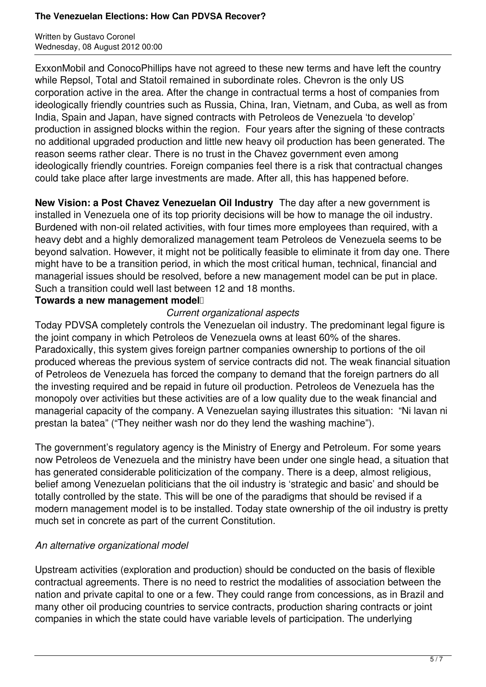Written by Gustavo Coronel Wednesday, 08 August 2012 00:00

ExxonMobil and ConocoPhillips have not agreed to these new terms and have left the country while Repsol, Total and Statoil remained in subordinate roles. Chevron is the only US corporation active in the area. After the change in contractual terms a host of companies from ideologically friendly countries such as Russia, China, Iran, Vietnam, and Cuba, as well as from India, Spain and Japan, have signed contracts with Petroleos de Venezuela 'to develop' production in assigned blocks within the region. Four years after the signing of these contracts no additional upgraded production and little new heavy oil production has been generated. The reason seems rather clear. There is no trust in the Chavez government even among ideologically friendly countries. Foreign companies feel there is a risk that contractual changes could take place after large investments are made. After all, this has happened before.

**New Vision: a Post Chavez Venezuelan Oil Industry** The day after a new government is installed in Venezuela one of its top priority decisions will be how to manage the oil industry. Burdened with non-oil related activities, with four times more employees than required, with a heavy debt and a highly demoralized management team Petroleos de Venezuela seems to be beyond salvation. However, it might not be politically feasible to eliminate it from day one. There might have to be a transition period, in which the most critical human, technical, financial and managerial issues should be resolved, before a new management model can be put in place. Such a transition could well last between 12 and 18 months.

### Towards a new management model<sup>[1]</sup>

### *Current organizational aspects*

Today PDVSA completely controls the Venezuelan oil industry. The predominant legal figure is the joint company in which Petroleos de Venezuela owns at least 60% of the shares. Paradoxically, this system gives foreign partner companies ownership to portions of the oil produced whereas the previous system of service contracts did not. The weak financial situation of Petroleos de Venezuela has forced the company to demand that the foreign partners do all the investing required and be repaid in future oil production. Petroleos de Venezuela has the monopoly over activities but these activities are of a low quality due to the weak financial and managerial capacity of the company. A Venezuelan saying illustrates this situation: "Ni lavan ni prestan la batea" ("They neither wash nor do they lend the washing machine").

The government's regulatory agency is the Ministry of Energy and Petroleum. For some years now Petroleos de Venezuela and the ministry have been under one single head, a situation that has generated considerable politicization of the company. There is a deep, almost religious, belief among Venezuelan politicians that the oil industry is 'strategic and basic' and should be totally controlled by the state. This will be one of the paradigms that should be revised if a modern management model is to be installed. Today state ownership of the oil industry is pretty much set in concrete as part of the current Constitution.

## *An alternative organizational model*

Upstream activities (exploration and production) should be conducted on the basis of flexible contractual agreements. There is no need to restrict the modalities of association between the nation and private capital to one or a few. They could range from concessions, as in Brazil and many other oil producing countries to service contracts, production sharing contracts or joint companies in which the state could have variable levels of participation. The underlying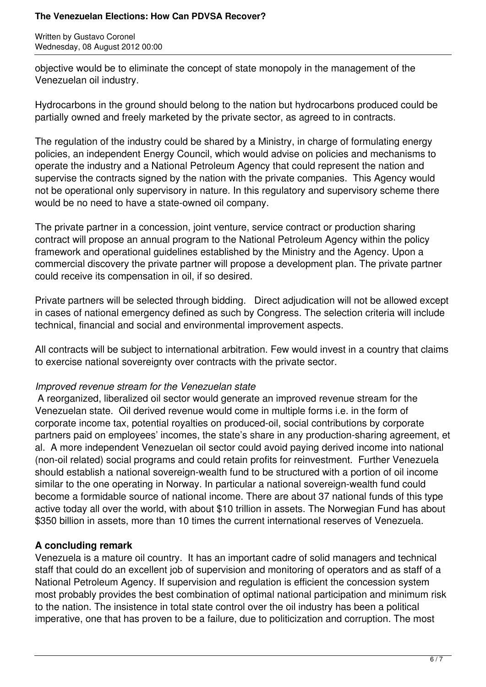Written by Gustavo Coronel Wednesday, 08 August 2012 00:00

objective would be to eliminate the concept of state monopoly in the management of the Venezuelan oil industry.

Hydrocarbons in the ground should belong to the nation but hydrocarbons produced could be partially owned and freely marketed by the private sector, as agreed to in contracts.

The regulation of the industry could be shared by a Ministry, in charge of formulating energy policies, an independent Energy Council, which would advise on policies and mechanisms to operate the industry and a National Petroleum Agency that could represent the nation and supervise the contracts signed by the nation with the private companies. This Agency would not be operational only supervisory in nature. In this regulatory and supervisory scheme there would be no need to have a state-owned oil company.

The private partner in a concession, joint venture, service contract or production sharing contract will propose an annual program to the National Petroleum Agency within the policy framework and operational guidelines established by the Ministry and the Agency. Upon a commercial discovery the private partner will propose a development plan. The private partner could receive its compensation in oil, if so desired.

Private partners will be selected through bidding. Direct adjudication will not be allowed except in cases of national emergency defined as such by Congress. The selection criteria will include technical, financial and social and environmental improvement aspects.

All contracts will be subject to international arbitration. Few would invest in a country that claims to exercise national sovereignty over contracts with the private sector.

## *Improved revenue stream for the Venezuelan state*

A reorganized, liberalized oil sector would generate an improved revenue stream for the Venezuelan state. Oil derived revenue would come in multiple forms i.e. in the form of corporate income tax, potential royalties on produced-oil, social contributions by corporate partners paid on employees' incomes, the state's share in any production-sharing agreement, et al. A more independent Venezuelan oil sector could avoid paying derived income into national (non-oil related) social programs and could retain profits for reinvestment. Further Venezuela should establish a national sovereign-wealth fund to be structured with a portion of oil income similar to the one operating in Norway. In particular a national sovereign-wealth fund could become a formidable source of national income. There are about 37 national funds of this type active today all over the world, with about \$10 trillion in assets. The Norwegian Fund has about \$350 billion in assets, more than 10 times the current international reserves of Venezuela.

## **A concluding remark**

Venezuela is a mature oil country. It has an important cadre of solid managers and technical staff that could do an excellent job of supervision and monitoring of operators and as staff of a National Petroleum Agency. If supervision and regulation is efficient the concession system most probably provides the best combination of optimal national participation and minimum risk to the nation. The insistence in total state control over the oil industry has been a political imperative, one that has proven to be a failure, due to politicization and corruption. The most